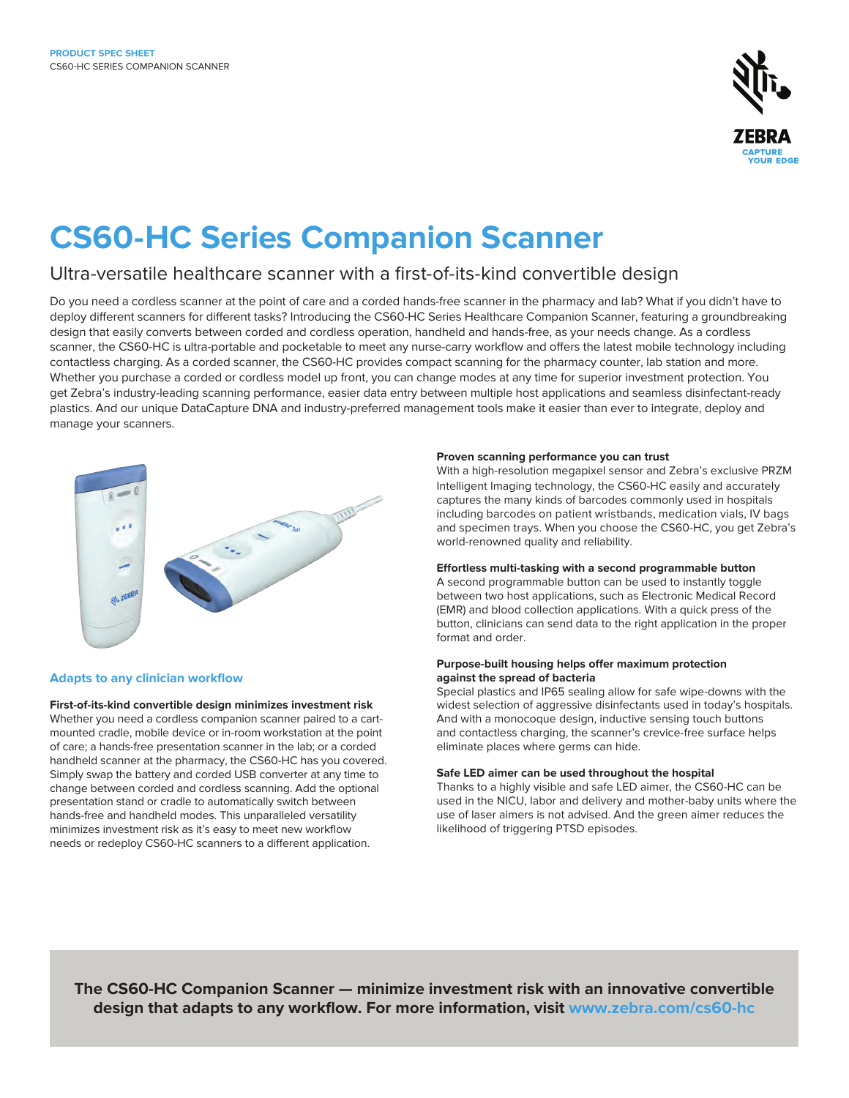

# **CS60-HC Series Companion Scanner**

# Ultra-versatile healthcare scanner with a first-of-its-kind convertible design

Do you need a cordless scanner at the point of care and a corded hands-free scanner in the pharmacy and lab? What if you didn't have to deploy different scanners for different tasks? Introducing the CS60-HC Series Healthcare Companion Scanner, featuring a groundbreaking design that easily converts between corded and cordless operation, handheld and hands-free, as your needs change. As a cordless scanner, the CS60-HC is ultra-portable and pocketable to meet any nurse-carry workflow and offers the latest mobile technology including contactless charging. As a corded scanner, the CS60-HC provides compact scanning for the pharmacy counter, lab station and more. Whether you purchase a corded or cordless model up front, you can change modes at any time for superior investment protection. You get Zebra's industry-leading scanning performance, easier data entry between multiple host applications and seamless disinfectant-ready plastics. And our unique DataCapture DNA and industry-preferred management tools make it easier than ever to integrate, deploy and manage your scanners.



# **Adapts to any clinician workflow**

# **First-of-its-kind convertible design minimizes investment risk**

Whether you need a cordless companion scanner paired to a cartmounted cradle, mobile device or in-room workstation at the point of care; a hands-free presentation scanner in the lab; or a corded handheld scanner at the pharmacy, the CS60-HC has you covered. Simply swap the battery and corded USB converter at any time to change between corded and cordless scanning. Add the optional presentation stand or cradle to automatically switch between hands-free and handheld modes. This unparalleled versatility minimizes investment risk as it's easy to meet new workflow needs or redeploy CS60-HC scanners to a different application.

#### **Proven scanning performance you can trust**

With a high-resolution megapixel sensor and Zebra's exclusive PRZM Intelligent Imaging technology, the CS60-HC easily and accurately captures the many kinds of barcodes commonly used in hospitals including barcodes on patient wristbands, medication vials, IV bags and specimen trays. When you choose the CS60-HC, you get Zebra's world-renowned quality and reliability.

# **Effortless multi-tasking with a second programmable button**

A second programmable button can be used to instantly toggle between two host applications, such as Electronic Medical Record (EMR) and blood collection applications. With a quick press of the button, clinicians can send data to the right application in the proper format and order.

# **Purpose-built housing helps offer maximum protection against the spread of bacteria**

Special plastics and IP65 sealing allow for safe wipe-downs with the widest selection of aggressive disinfectants used in today's hospitals. And with a monocoque design, inductive sensing touch buttons and contactless charging, the scanner's crevice-free surface helps eliminate places where germs can hide.

# **Safe LED aimer can be used throughout the hospital**

Thanks to a highly visible and safe LED aimer, the CS60-HC can be used in the NICU, labor and delivery and mother-baby units where the use of laser aimers is not advised. And the green aimer reduces the likelihood of triggering PTSD episodes.

**The CS60-HC Companion Scanner — minimize investment risk with an innovative convertible design that adapts to any workflow. For more information, visit [www.zebra.com/c](http://www.zebra.com/cs60-hc)s60-hc**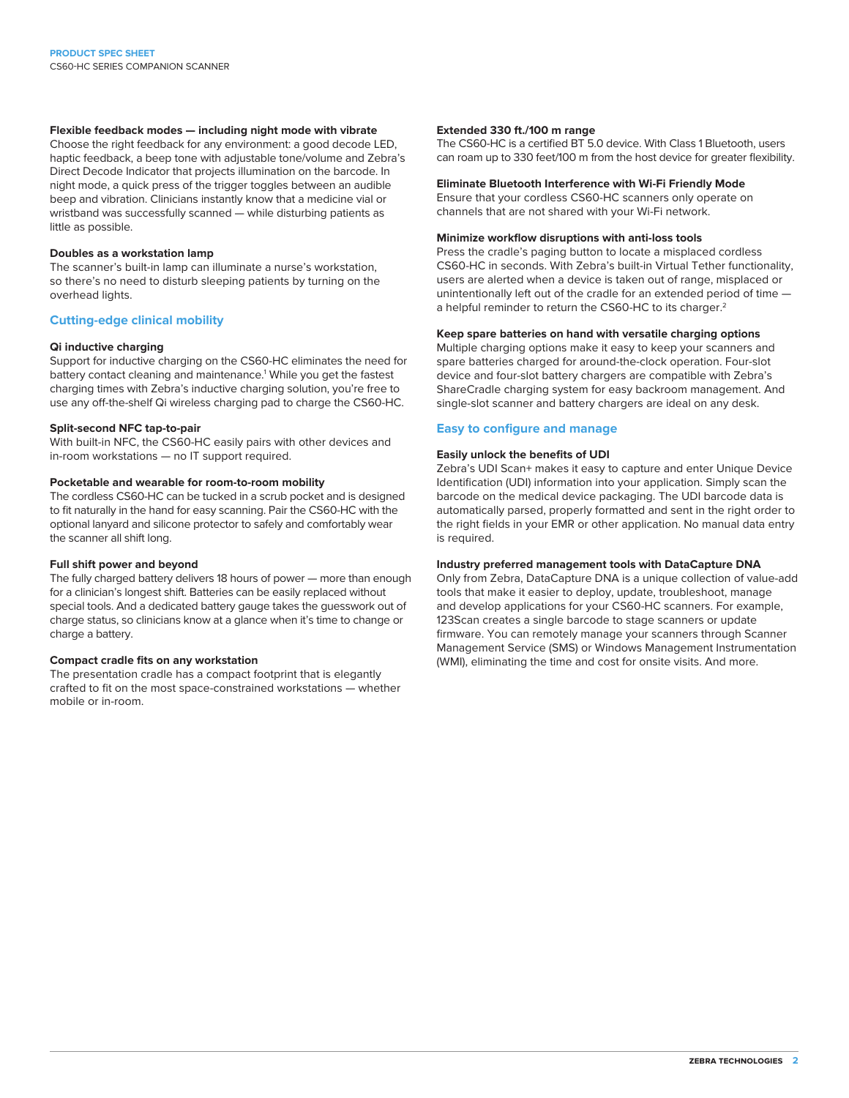#### **Flexible feedback modes — including night mode with vibrate**

Choose the right feedback for any environment: a good decode LED, haptic feedback, a beep tone with adjustable tone/volume and Zebra's Direct Decode Indicator that projects illumination on the barcode. In night mode, a quick press of the trigger toggles between an audible beep and vibration. Clinicians instantly know that a medicine vial or wristband was successfully scanned — while disturbing patients as little as possible.

#### **Doubles as a workstation lamp**

The scanner's built-in lamp can illuminate a nurse's workstation, so there's no need to disturb sleeping patients by turning on the overhead lights.

# **Cutting-edge clinical mobility**

#### **Qi inductive charging**

Support for inductive charging on the CS60-HC eliminates the need for battery contact cleaning and maintenance.<sup>1</sup> While you get the fastest charging times with Zebra's inductive charging solution, you're free to use any off-the-shelf Qi wireless charging pad to charge the CS60-HC.

#### **Split-second NFC tap-to-pair**

With built-in NFC, the CS60-HC easily pairs with other devices and in-room workstations — no IT support required.

#### **Pocketable and wearable for room-to-room mobility**

The cordless CS60-HC can be tucked in a scrub pocket and is designed to fit naturally in the hand for easy scanning. Pair the CS60-HC with the optional lanyard and silicone protector to safely and comfortably wear the scanner all shift long.

# **Full shift power and beyond**

The fully charged battery delivers 18 hours of power — more than enough for a clinician's longest shift. Batteries can be easily replaced without special tools. And a dedicated battery gauge takes the guesswork out of charge status, so clinicians know at a glance when it's time to change or charge a battery.

# **Compact cradle fits on any workstation**

The presentation cradle has a compact footprint that is elegantly crafted to fit on the most space-constrained workstations — whether mobile or in-room.

#### **Extended 330 ft./100 m range**

The CS60-HC is a certified BT 5.0 device. With Class 1 Bluetooth, users can roam up to 330 feet/100 m from the host device for greater flexibility.

#### **Eliminate Bluetooth Interference with Wi-Fi Friendly Mode**

Ensure that your cordless CS60-HC scanners only operate on channels that are not shared with your Wi-Fi network.

#### **Minimize workflow disruptions with anti-loss tools**

Press the cradle's paging button to locate a misplaced cordless CS60-HC in seconds. With Zebra's built-in Virtual Tether functionality, users are alerted when a device is taken out of range, misplaced or unintentionally left out of the cradle for an extended period of time a helpful reminder to return the CS60-HC to its charger.<sup>2</sup>

# **Keep spare batteries on hand with versatile charging options**

Multiple charging options make it easy to keep your scanners and spare batteries charged for around-the-clock operation. Four-slot device and four-slot battery chargers are compatible with Zebra's ShareCradle charging system for easy backroom management. And single-slot scanner and battery chargers are ideal on any desk.

# **Easy to configure and manage**

#### **Easily unlock the benefits of UDI**

Zebra's UDI Scan+ makes it easy to capture and enter Unique Device Identification (UDI) information into your application. Simply scan the barcode on the medical device packaging. The UDI barcode data is automatically parsed, properly formatted and sent in the right order to the right fields in your EMR or other application. No manual data entry is required.

#### **Industry preferred management tools with DataCapture DNA**

Only from Zebra, DataCapture DNA is a unique collection of value-add tools that make it easier to deploy, update, troubleshoot, manage and develop applications for your CS60-HC scanners. For example, 123Scan creates a single barcode to stage scanners or update firmware. You can remotely manage your scanners through Scanner Management Service (SMS) or Windows Management Instrumentation (WMI), eliminating the time and cost for onsite visits. And more.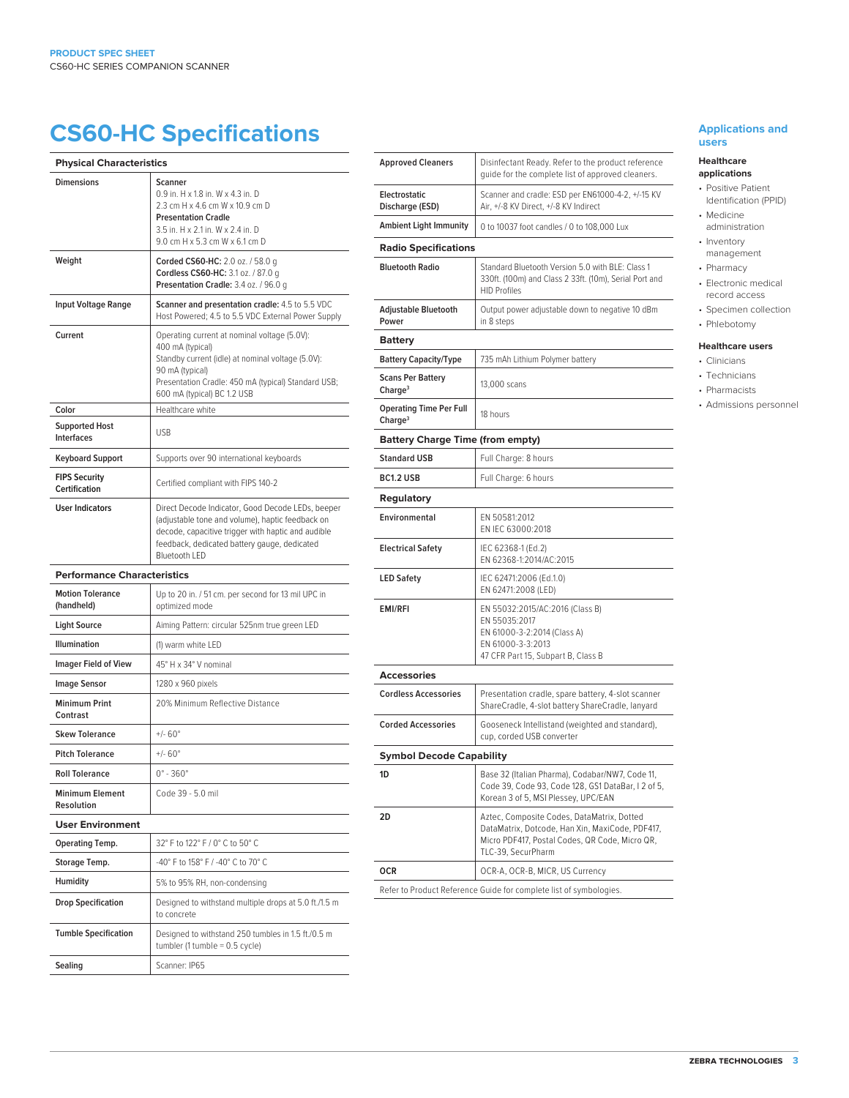# **CS60-HC Specifications Applications Applications** and

| <b>Physical Characteristics</b>              |                                                                                                                                                                                                                                     |  |
|----------------------------------------------|-------------------------------------------------------------------------------------------------------------------------------------------------------------------------------------------------------------------------------------|--|
| <b>Dimensions</b>                            | <b>Scanner</b><br>0.9 in, H x 1.8 in, W x 4.3 in, D<br>2.3 cm H x 4.6 cm W x 10.9 cm D<br><b>Presentation Cradle</b><br>3.5 in. H x 2.1 in. W x 2.4 in. D<br>9.0 cm H x 5.3 cm W x 6.1 cm D                                         |  |
| Weight                                       | Corded CS60-HC: 2.0 oz. / 58.0 g<br>Cordless CS60-HC: 3.1 oz. / 87.0 g<br>Presentation Cradle: 3.4 oz. / 96.0 g                                                                                                                     |  |
| <b>Input Voltage Range</b>                   | Scanner and presentation cradle: 4.5 to 5.5 VDC<br>Host Powered; 4.5 to 5.5 VDC External Power Supply                                                                                                                               |  |
| Current                                      | Operating current at nominal voltage (5.0V):<br>400 mA (typical)<br>Standby current (idle) at nominal voltage (5.0V):<br>90 mA (typical)<br>Presentation Cradle: 450 mA (typical) Standard USB;<br>600 mA (typical) BC 1.2 USB      |  |
| Color                                        | Healthcare white                                                                                                                                                                                                                    |  |
| <b>Supported Host</b><br><b>Interfaces</b>   | <b>USB</b>                                                                                                                                                                                                                          |  |
| <b>Keyboard Support</b>                      | Supports over 90 international keyboards                                                                                                                                                                                            |  |
| <b>FIPS Security</b><br><b>Certification</b> | Certified compliant with FIPS 140-2                                                                                                                                                                                                 |  |
| <b>User Indicators</b>                       | Direct Decode Indicator, Good Decode LEDs, beeper<br>(adjustable tone and volume), haptic feedback on<br>decode, capacitive trigger with haptic and audible<br>feedback, dedicated battery gauge, dedicated<br><b>Bluetooth LED</b> |  |
| <b>Performance Characteristics</b>           |                                                                                                                                                                                                                                     |  |
| <b>Motion Tolerance</b><br>(handheld)        | Up to 20 in. / 51 cm. per second for 13 mil UPC in<br>optimized mode                                                                                                                                                                |  |
| <b>Light Source</b>                          | Aiming Pattern: circular 525nm true green LED                                                                                                                                                                                       |  |
| <b>Illumination</b>                          | (1) warm white LED                                                                                                                                                                                                                  |  |
| <b>Imager Field of View</b>                  | 45° H x 34° V nominal                                                                                                                                                                                                               |  |
| <b>Image Sensor</b>                          | 1280 x 960 pixels                                                                                                                                                                                                                   |  |
| <b>Minimum Print</b><br>Contrast             | 20% Minimum Reflective Distance                                                                                                                                                                                                     |  |
| <b>Skew Tolerance</b>                        | $+/- 60^{\circ}$                                                                                                                                                                                                                    |  |
| <b>Pitch Tolerance</b>                       | $+/- 60^{\circ}$                                                                                                                                                                                                                    |  |
| <b>Roll Tolerance</b>                        | $0^\circ$ - 360 $^\circ$                                                                                                                                                                                                            |  |
| <b>Minimum Element</b><br>Resolution         | Code 39 - 5.0 mil                                                                                                                                                                                                                   |  |
| <b>User Environment</b>                      |                                                                                                                                                                                                                                     |  |
| <b>Operating Temp.</b>                       | 32° F to 122° F / 0° C to 50° C                                                                                                                                                                                                     |  |
| Storage Temp.                                | -40° F to 158° F / -40° C to 70° C                                                                                                                                                                                                  |  |
| Humidity                                     | 5% to 95% RH, non-condensing                                                                                                                                                                                                        |  |
| <b>Drop Specification</b>                    | Designed to withstand multiple drops at 5.0 ft./1.5 m<br>to concrete                                                                                                                                                                |  |
| <b>Tumble Specification</b>                  | Designed to withstand 250 tumbles in 1.5 ft./0.5 m<br>tumbler (1 tumble = $0.5$ cycle)                                                                                                                                              |  |
| Sealing                                      | Scanner: IP65                                                                                                                                                                                                                       |  |
|                                              |                                                                                                                                                                                                                                     |  |

| <b>Approved Cleaners</b>                              | Disinfectant Ready. Refer to the product reference<br>quide for the complete list of approved cleaners.                                                               |  |
|-------------------------------------------------------|-----------------------------------------------------------------------------------------------------------------------------------------------------------------------|--|
| <b>Electrostatic</b><br>Discharge (ESD)               | Scanner and cradle: ESD per EN61000-4-2, +/-15 KV<br>Air, +/-8 KV Direct, +/-8 KV Indirect                                                                            |  |
| <b>Ambient Light Immunity</b>                         | 0 to 10037 foot candles / 0 to 108,000 Lux                                                                                                                            |  |
| <b>Radio Specifications</b>                           |                                                                                                                                                                       |  |
| <b>Bluetooth Radio</b>                                | Standard Bluetooth Version 5.0 with BLE: Class 1<br>330ft. (100m) and Class 2 33ft. (10m). Serial Port and<br><b>HID Profiles</b>                                     |  |
| <b>Adjustable Bluetooth</b><br>Power                  | Output power adjustable down to negative 10 dBm<br>in 8 steps                                                                                                         |  |
| <b>Battery</b>                                        |                                                                                                                                                                       |  |
| <b>Battery Capacity/Type</b>                          | 735 mAh Lithium Polymer battery                                                                                                                                       |  |
| Scans Per Battery<br>Charge <sup>3</sup>              | 13,000 scans                                                                                                                                                          |  |
| <b>Operating Time Per Full</b><br>Charge <sup>3</sup> | 18 hours                                                                                                                                                              |  |
| <b>Battery Charge Time (from empty)</b>               |                                                                                                                                                                       |  |
| <b>Standard USB</b>                                   | Full Charge: 8 hours                                                                                                                                                  |  |
| BC1.2 USB                                             | Full Charge: 6 hours                                                                                                                                                  |  |
| <b>Regulatory</b>                                     |                                                                                                                                                                       |  |
| Environmental                                         | EN 50581:2012<br>EN IEC 63000:2018                                                                                                                                    |  |
| <b>Electrical Safety</b>                              | IEC 62368-1 (Ed.2)<br>EN 62368-1:2014/AC:2015                                                                                                                         |  |
| <b>LED Safety</b>                                     | IEC 62471:2006 (Ed.1.0)<br>EN 62471:2008 (LED)                                                                                                                        |  |
| <b>EMI/RFI</b>                                        | EN 55032:2015/AC:2016 (Class B)<br>EN 55035:2017<br>EN 61000-3-2:2014 (Class A)<br>EN 61000-3-3:2013<br>47 CFR Part 15, Subpart B, Class B                            |  |
| <b>Accessories</b>                                    |                                                                                                                                                                       |  |
| <b>Cordless Accessories</b>                           | Presentation cradle, spare battery, 4-slot scanner<br>ShareCradle, 4-slot battery ShareCradle, lanyard                                                                |  |
| <b>Corded Accessories</b>                             | Gooseneck Intellistand (weighted and standard),<br>cup, corded USB converter                                                                                          |  |
| <b>Symbol Decode Capability</b>                       |                                                                                                                                                                       |  |
| 1D                                                    | Base 32 (Italian Pharma), Codabar/NW7, Code 11,<br>Code 39, Code 93, Code 128, GS1 DataBar, I 2 of 5,<br>Korean 3 of 5, MSI Plessey, UPC/EAN                          |  |
| 2D                                                    | Aztec, Composite Codes, DataMatrix, Dotted<br>DataMatrix, Dotcode, Han Xin, MaxiCode, PDF417,<br>Micro PDF417, Postal Codes, QR Code, Micro QR,<br>TLC-39, SecurPharm |  |
| OCR                                                   | OCR-A, OCR-B, MICR, US Currency                                                                                                                                       |  |
|                                                       |                                                                                                                                                                       |  |

# **users**

# **Healthcare**

# **applications**

- Positive Patient Identification (PPID)
- Medicine administration
- Inventory
- management
- Pharmacy • Electronic medical
- record access
- Specimen collection
- Phlebotomy

# **Healthcare users**

- Clinicians
- Technicians
- Pharmacists
- Admissions personnel